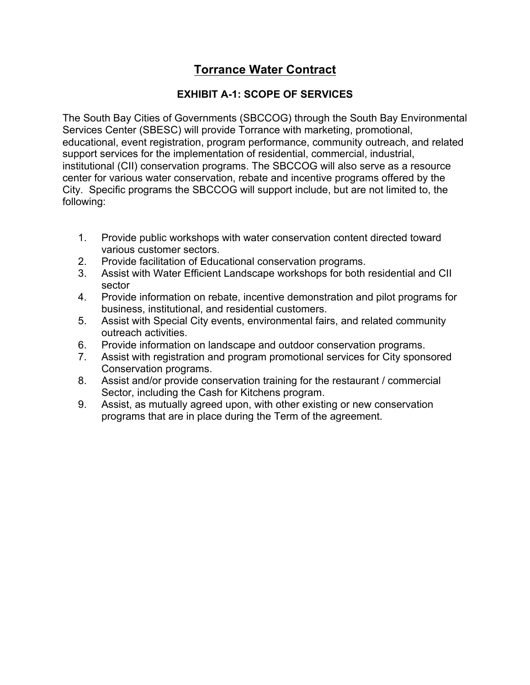# **Torrance Water Contract**

# **EXHIBIT A-1: SCOPE OF SERVICES**

The South Bay Cities of Governments (SBCCOG) through the South Bay Environmental Services Center (SBESC) will provide Torrance with marketing, promotional, educational, event registration, program performance, community outreach, and related support services for the implementation of residential, commercial, industrial, institutional (CII) conservation programs. The SBCCOG will also serve as a resource center for various water conservation, rebate and incentive programs offered by the City. Specific programs the SBCCOG will support include, but are not limited to, the following:

- 1. Provide public workshops with water conservation content directed toward various customer sectors.
- 2. Provide facilitation of Educational conservation programs.
- 3. Assist with Water Efficient Landscape workshops for both residential and CII sector
- 4. Provide information on rebate, incentive demonstration and pilot programs for business, institutional, and residential customers.
- 5. Assist with Special City events, environmental fairs, and related community outreach activities.
- 6. Provide information on landscape and outdoor conservation programs.
- 7. Assist with registration and program promotional services for City sponsored Conservation programs.
- 8. Assist and/or provide conservation training for the restaurant / commercial Sector, including the Cash for Kitchens program.
- 9. Assist, as mutually agreed upon, with other existing or new conservation programs that are in place during the Term of the agreement.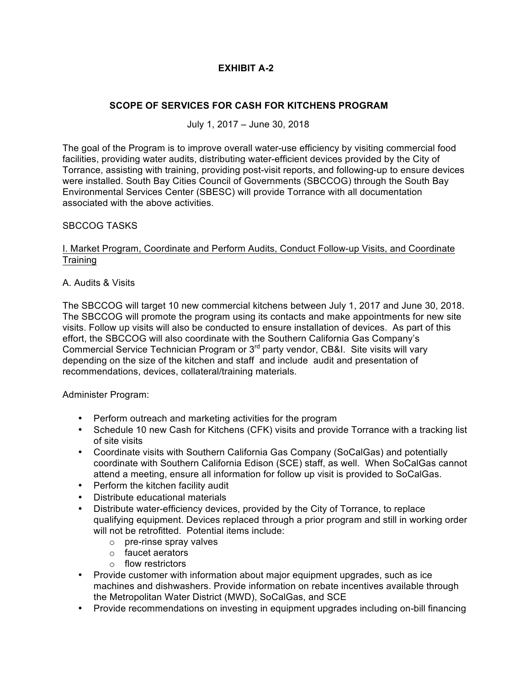# **EXHIBIT A-2**

### **SCOPE OF SERVICES FOR CASH FOR KITCHENS PROGRAM**

July 1, 2017 – June 30, 2018

The goal of the Program is to improve overall water-use efficiency by visiting commercial food facilities, providing water audits, distributing water-efficient devices provided by the City of Torrance, assisting with training, providing post-visit reports, and following-up to ensure devices were installed. South Bay Cities Council of Governments (SBCCOG) through the South Bay Environmental Services Center (SBESC) will provide Torrance with all documentation associated with the above activities.

#### SBCCOG TASKS

#### I. Market Program, Coordinate and Perform Audits, Conduct Follow-up Visits, and Coordinate **Training**

#### A. Audits & Visits

The SBCCOG will target 10 new commercial kitchens between July 1, 2017 and June 30, 2018. The SBCCOG will promote the program using its contacts and make appointments for new site visits. Follow up visits will also be conducted to ensure installation of devices. As part of this effort, the SBCCOG will also coordinate with the Southern California Gas Company's Commercial Service Technician Program or 3rd party vendor, CB&I. Site visits will vary depending on the size of the kitchen and staff and include audit and presentation of recommendations, devices, collateral/training materials.

#### Administer Program:

- Perform outreach and marketing activities for the program
- Schedule 10 new Cash for Kitchens (CFK) visits and provide Torrance with a tracking list of site visits
- Coordinate visits with Southern California Gas Company (SoCalGas) and potentially coordinate with Southern California Edison (SCE) staff, as well. When SoCalGas cannot attend a meeting, ensure all information for follow up visit is provided to SoCalGas.
- Perform the kitchen facility audit
- Distribute educational materials
- Distribute water-efficiency devices, provided by the City of Torrance, to replace qualifying equipment. Devices replaced through a prior program and still in working order will not be retrofitted. Potential items include:
	- o pre-rinse spray valves
	- o faucet aerators
	- o flow restrictors
- Provide customer with information about major equipment upgrades, such as ice machines and dishwashers. Provide information on rebate incentives available through the Metropolitan Water District (MWD), SoCalGas, and SCE
- Provide recommendations on investing in equipment upgrades including on-bill financing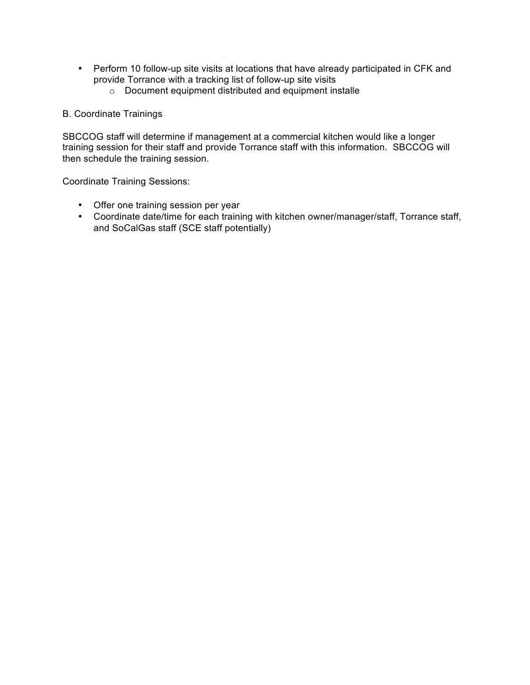- Perform 10 follow-up site visits at locations that have already participated in CFK and provide Torrance with a tracking list of follow-up site visits
	- o Document equipment distributed and equipment installe

#### B. Coordinate Trainings

SBCCOG staff will determine if management at a commercial kitchen would like a longer training session for their staff and provide Torrance staff with this information. SBCCOG will then schedule the training session.

Coordinate Training Sessions:

- Offer one training session per year
- Coordinate date/time for each training with kitchen owner/manager/staff, Torrance staff, and SoCalGas staff (SCE staff potentially)